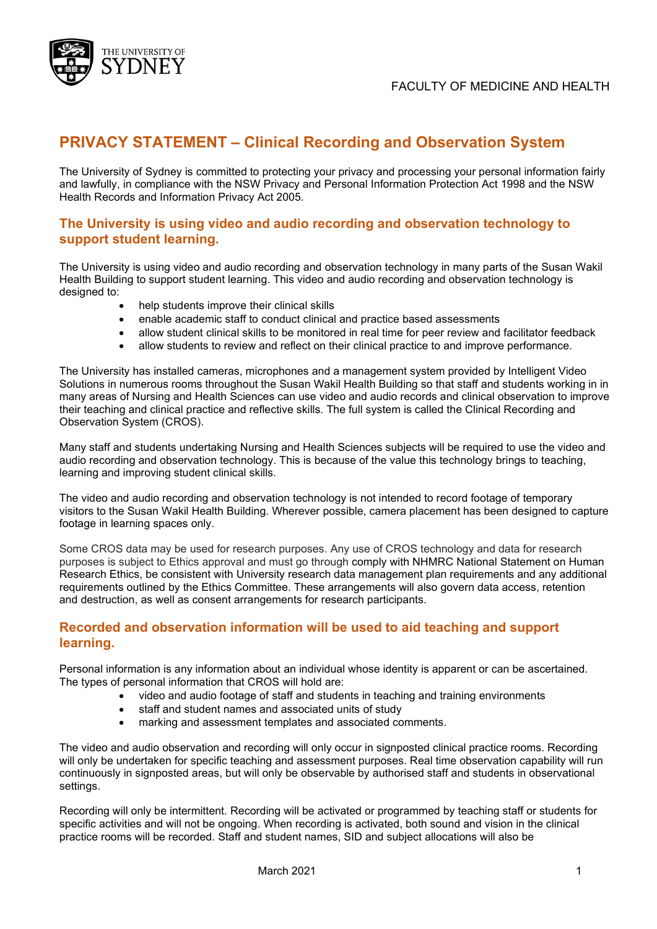

# **PRIVACY STATEMENT – Clinical Recording and Observation System**

The University of Sydney is committed to protecting your privacy and processing your personal information fairly and lawfully, in compliance with the NSW Privacy and Personal Information Protection Act 1998 and the NSW Health Records and Information Privacy Act 2005.

### **The University is using video and audio recording and observation technology to support student learning.**

The University is using video and audio recording and observation technology in many parts of the Susan Wakil Health Building to support student learning. This video and audio recording and observation technology is designed to:

- help students improve their clinical skills
- enable academic staff to conduct clinical and practice based assessments
- allow student clinical skills to be monitored in real time for peer review and facilitator feedback
- allow students to review and reflect on their clinical practice to and improve performance.

The University has installed cameras, microphones and a management system provided by Intelligent Video Solutions in numerous rooms throughout the Susan Wakil Health Building so that staff and students working in in many areas of Nursing and Health Sciences can use video and audio records and clinical observation to improve their teaching and clinical practice and reflective skills. The full system is called the Clinical Recording and Observation System (CROS).

Many staff and students undertaking Nursing and Health Sciences subjects will be required to use the video and audio recording and observation technology. This is because of the value this technology brings to teaching, learning and improving student clinical skills.

The video and audio recording and observation technology is not intended to record footage of temporary visitors to the Susan Wakil Health Building. Wherever possible, camera placement has been designed to capture footage in learning spaces only.

Some CROS data may be used for research purposes. Any use of CROS technology and data for research purposes is subject to Ethics approval and must go through comply with NHMRC National Statement on Human Research Ethics, be consistent with University research data management plan requirements and any additional requirements outlined by the Ethics Committee. These arrangements will also govern data access, retention and destruction, as well as consent arrangements for research participants.

### **Recorded and observation information will be used to aid teaching and support learning.**

Personal information is any information about an individual whose identity is apparent or can be ascertained. The types of personal information that CROS will hold are:

- video and audio footage of staff and students in teaching and training environments
- staff and student names and associated units of study
- marking and assessment templates and associated comments.

The video and audio observation and recording will only occur in signposted clinical practice rooms. Recording will only be undertaken for specific teaching and assessment purposes. Real time observation capability will run continuously in signposted areas, but will only be observable by authorised staff and students in observational settings.

Recording will only be intermittent. Recording will be activated or programmed by teaching staff or students for specific activities and will not be ongoing. When recording is activated, both sound and vision in the clinical practice rooms will be recorded. Staff and student names, SID and subject allocations will also be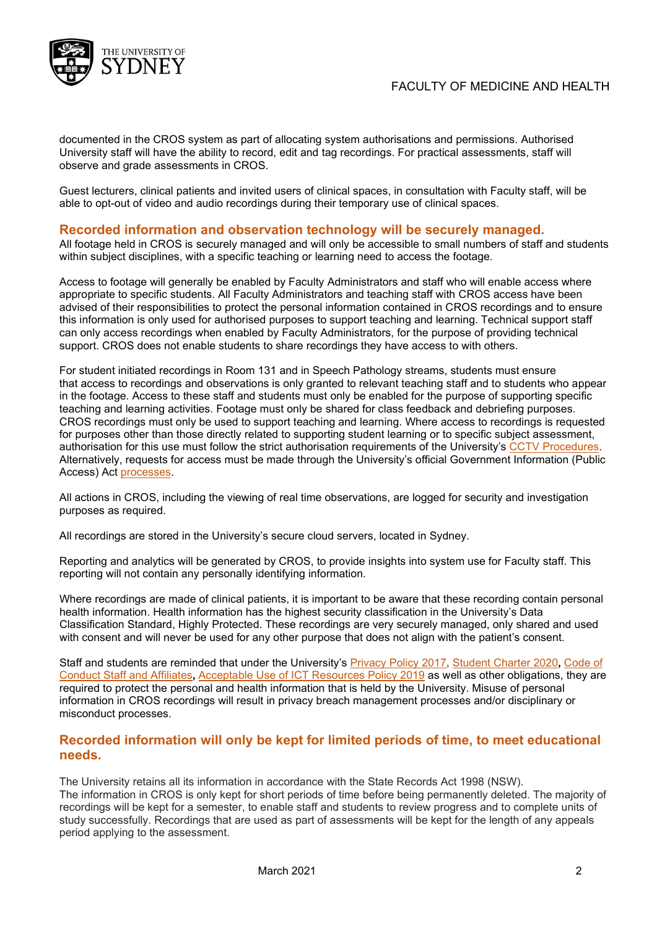

documented in the CROS system as part of allocating system authorisations and permissions. Authorised University staff will have the ability to record, edit and tag recordings. For practical assessments, staff will observe and grade assessments in CROS.

Guest lecturers, clinical patients and invited users of clinical spaces, in consultation with Faculty staff, will be able to opt-out of video and audio recordings during their temporary use of clinical spaces.

#### **Recorded information and observation technology will be securely managed.**

All footage held in CROS is securely managed and will only be accessible to small numbers of staff and students within subject disciplines, with a specific teaching or learning need to access the footage.

Access to footage will generally be enabled by Faculty Administrators and staff who will enable access where appropriate to specific students. All Faculty Administrators and teaching staff with CROS access have been advised of their responsibilities to protect the personal information contained in CROS recordings and to ensure this information is only used for authorised purposes to support teaching and learning. Technical support staff can only access recordings when enabled by Faculty Administrators, for the purpose of providing technical support. CROS does not enable students to share recordings they have access to with others.

For student initiated recordings in Room 131 and in Speech Pathology streams, students must ensure that access to recordings and observations is only granted to relevant teaching staff and to students who appear in the footage. Access to these staff and students must only be enabled for the purpose of supporting specific teaching and learning activities. Footage must only be shared for class feedback and debriefing purposes. CROS recordings must only be used to support teaching and learning. Where access to recordings is requested for purposes other than those directly related to supporting student learning or to specific subject assessment, authorisation for this use must follow the strict authorisation requirements of the University's [CCTV Procedures.](https://www.sydney.edu.au/policies/showdoc.aspx?recnum=PDOC2019/486&RendNum=0) Alternatively, requests for access must be made through the University's official Government Information (Public Access) Act [processes.](https://www.sydney.edu.au/about-us/governance-and-structure/privacy-and-university-information/accessing-university-information.html)

All actions in CROS, including the viewing of real time observations, are logged for security and investigation purposes as required.

All recordings are stored in the University's secure cloud servers, located in Sydney.

Reporting and analytics will be generated by CROS, to provide insights into system use for Faculty staff. This reporting will not contain any personally identifying information.

Where recordings are made of clinical patients, it is important to be aware that these recording contain personal health information. Health information has the highest security classification in the University's Data Classification Standard, Highly Protected. These recordings are very securely managed, only shared and used with consent and will never be used for any other purpose that does not align with the patient's consent.

Staff and students are reminded that under the University's [Privacy Policy 2017](https://www.sydney.edu.au/policies/showdoc.aspx?recnum=PDOC2011/81&RendNum=0)**,** [Student Charter 2020](https://www.sydney.edu.au/policies/showdoc.aspx?recnum=PDOC2011/215&RendNum=0)**,** [Code of](https://www.sydney.edu.au/policies/showdoc.aspx?recnum=PDOC2011/65&RendNum=0)  [Conduct Staff and Affiliates](https://www.sydney.edu.au/policies/showdoc.aspx?recnum=PDOC2011/65&RendNum=0)**,** [Acceptable Use of ICT Resources Policy 2019](https://www.sydney.edu.au/policies/showdoc.aspx?recnum=PDOC2011/140&RendNum=0) as well as other obligations, they are required to protect the personal and health information that is held by the University. Misuse of personal information in CROS recordings will result in privacy breach management processes and/or disciplinary or misconduct processes.

### **Recorded information will only be kept for limited periods of time, to meet educational needs.**

The University retains all its information in accordance with the State Records Act 1998 (NSW). The information in CROS is only kept for short periods of time before being permanently deleted. The majority of recordings will be kept for a semester, to enable staff and students to review progress and to complete units of study successfully. Recordings that are used as part of assessments will be kept for the length of any appeals period applying to the assessment.